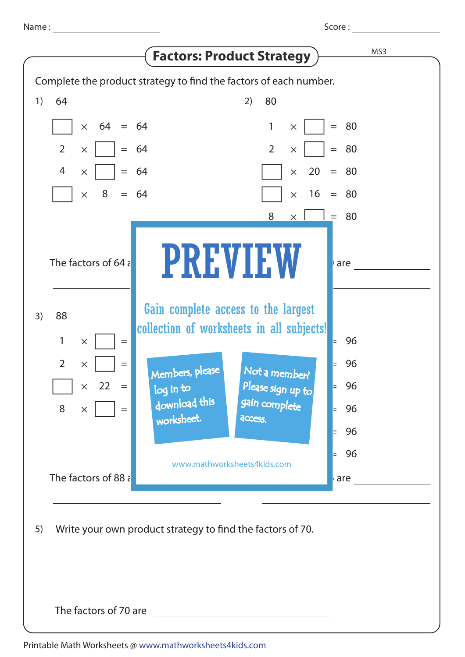

Printable Math Worksheets @ www.mathworksheets4kids.com

The factors of 70 are